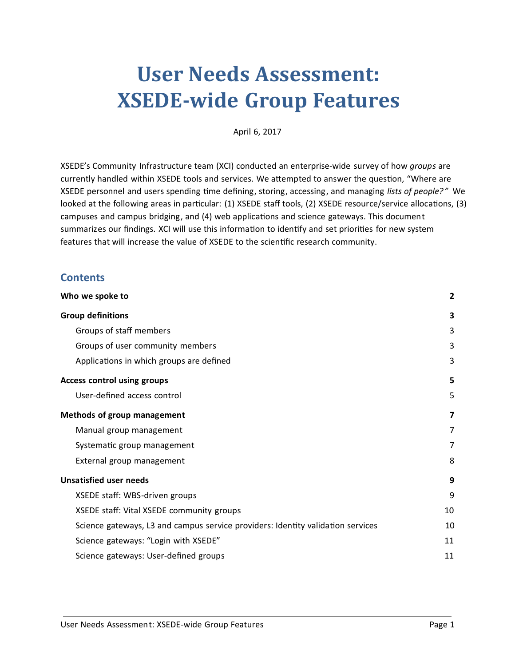# **User Needs Assessment: XSEDE-wide Group Features**

April 6, 2017

XSEDE's Community Infrastructure team (XCI) conducted an enterprise-wide survey of how *groups* are currently handled within XSEDE tools and services. We attempted to answer the question, "Where are XSEDE personnel and users spending time defining, storing, accessing, and managing *lists of people?"* We looked at the following areas in particular: (1) XSEDE staff tools, (2) XSEDE resource/service allocations, (3) campuses and campus bridging, and (4) web applications and science gateways. This document summarizes our findings. XCI will use this information to identify and set priorities for new system features that will increase the value of XSEDE to the scienfic research community.

#### **Contents**

| Who we spoke to                                                                 |    |
|---------------------------------------------------------------------------------|----|
| <b>Group definitions</b>                                                        | 3  |
| Groups of staff members                                                         | 3  |
| Groups of user community members                                                | 3  |
| Applications in which groups are defined                                        | 3  |
| <b>Access control using groups</b>                                              | 5  |
| User-defined access control                                                     | 5  |
| Methods of group management                                                     | 7  |
| Manual group management                                                         | 7  |
| Systematic group management                                                     | 7  |
| External group management                                                       | 8  |
| <b>Unsatisfied user needs</b>                                                   | 9  |
| XSEDE staff: WBS-driven groups                                                  | 9  |
| XSEDE staff: Vital XSEDE community groups                                       | 10 |
| Science gateways, L3 and campus service providers: Identity validation services | 10 |
| Science gateways: "Login with XSEDE"                                            | 11 |
| Science gateways: User-defined groups                                           | 11 |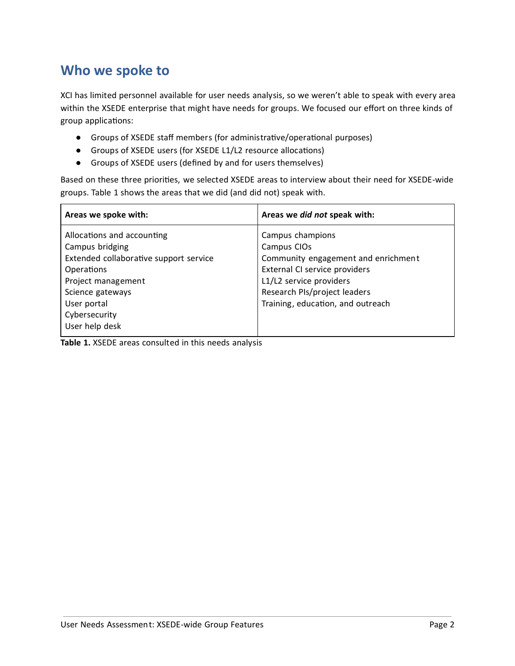### <span id="page-1-0"></span>**Who we spoke to**

XCI has limited personnel available for user needs analysis, so we weren't able to speak with every area within the XSEDE enterprise that might have needs for groups. We focused our effort on three kinds of group applications:

- Groups of XSEDE staff members (for administrative/operational purposes)
- Groups of XSEDE users (for XSEDE L1/L2 resource allocations)
- Groups of XSEDE users (defined by and for users themselves)

Based on these three priorities, we selected XSEDE areas to interview about their need for XSEDE-wide groups. Table 1 shows the areas that we did (and did not) speak with.

| Areas we spoke with:                                                                                                                                                                              | Areas we did not speak with:                                                                                                                                                                            |
|---------------------------------------------------------------------------------------------------------------------------------------------------------------------------------------------------|---------------------------------------------------------------------------------------------------------------------------------------------------------------------------------------------------------|
| Allocations and accounting<br>Campus bridging<br>Extended collaborative support service<br>Operations<br>Project management<br>Science gateways<br>User portal<br>Cybersecurity<br>User help desk | Campus champions<br>Campus CIOs<br>Community engagement and enrichment<br>External CI service providers<br>L1/L2 service providers<br>Research PIs/project leaders<br>Training, education, and outreach |

**Table 1.** XSEDE areas consulted in this needs analysis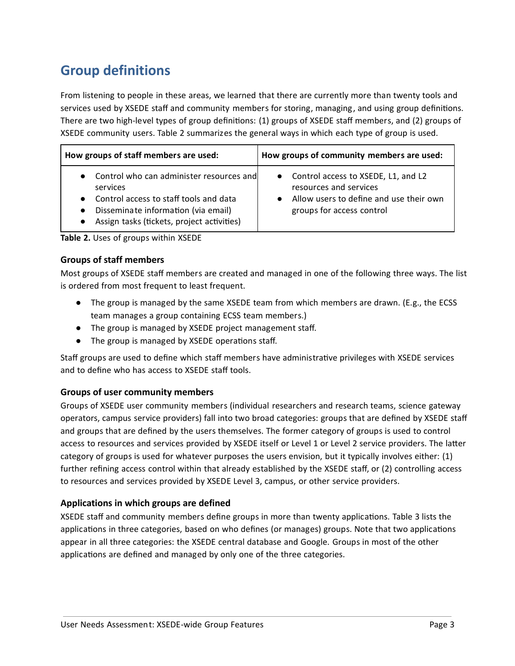# <span id="page-2-0"></span>**Group definitions**

From listening to people in these areas, we learned that there are currently more than twenty tools and services used by XSEDE staff and community members for storing, managing, and using group definitions. There are two high-level types of group definitions: (1) groups of XSEDE staff members, and (2) groups of XSEDE community users. Table 2 summarizes the general ways in which each type of group is used.

| How groups of staff members are used:                                                                                                                                                                                      | How groups of community members are used:                                                                                               |
|----------------------------------------------------------------------------------------------------------------------------------------------------------------------------------------------------------------------------|-----------------------------------------------------------------------------------------------------------------------------------------|
| Control who can administer resources and<br>services<br>Control access to staff tools and data<br>$\bullet$<br>Disseminate information (via email)<br>$\bullet$<br>Assign tasks (tickets, project activities)<br>$\bullet$ | • Control access to XSEDE, L1, and L2<br>resources and services<br>Allow users to define and use their own<br>groups for access control |

**Table 2.** Uses of groups within XSEDE

#### <span id="page-2-1"></span>**Groups of staff members**

Most groups of XSEDE staff members are created and managed in one of the following three ways. The list is ordered from most frequent to least frequent.

- The group is managed by the same XSEDE team from which members are drawn. (E.g., the ECSS team manages a group containing ECSS team members.)
- The group is managed by XSEDE project management staff.
- The group is managed by XSEDE operations staff.

Staff groups are used to define which staff members have administrative privileges with XSEDE services and to define who has access to XSEDE staff tools.

#### <span id="page-2-2"></span>**Groups of user community members**

Groups of XSEDE user community members (individual researchers and research teams, science gateway operators, campus service providers) fall into two broad categories: groups that are defined by XSEDE staff and groups that are defined by the users themselves. The former category of groups is used to control access to resources and services provided by XSEDE itself or Level 1 or Level 2 service providers. The latter category of groups is used for whatever purposes the users envision, but it typically involves either: (1) further refining access control within that already established by the XSEDE staff, or (2) controlling access to resources and services provided by XSEDE Level 3, campus, or other service providers.

#### <span id="page-2-3"></span>**Applications in which groups are defined**

XSEDE staff and community members define groups in more than twenty applications. Table 3 lists the applications in three categories, based on who defines (or manages) groups. Note that two applications appear in all three categories: the XSEDE central database and Google. Groups in most of the other applications are defined and managed by only one of the three categories.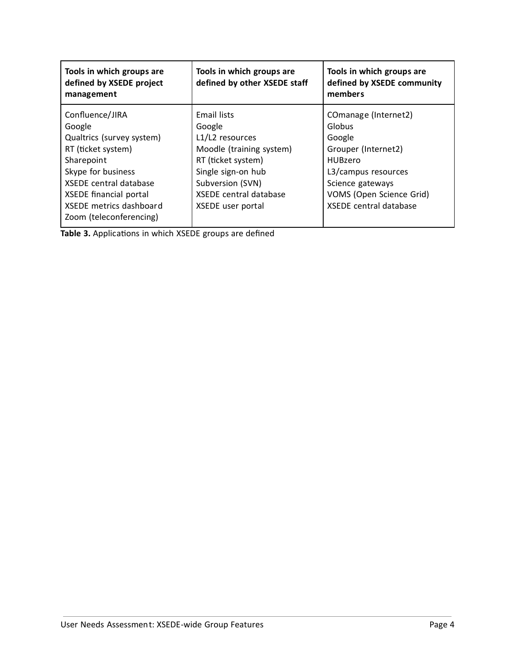| Tools in which groups are<br>defined by XSEDE project<br>management                                                                                                                                                                      | Tools in which groups are<br>defined by other XSEDE staff                                                                                                                           | Tools in which groups are<br>defined by XSEDE community<br>members                                                                                                                        |
|------------------------------------------------------------------------------------------------------------------------------------------------------------------------------------------------------------------------------------------|-------------------------------------------------------------------------------------------------------------------------------------------------------------------------------------|-------------------------------------------------------------------------------------------------------------------------------------------------------------------------------------------|
| Confluence/JIRA<br>Google<br>Qualtrics (survey system)<br>RT (ticket system)<br>Sharepoint<br>Skype for business<br><b>XSEDE</b> central database<br><b>XSEDE financial portal</b><br>XSEDE metrics dashboard<br>Zoom (teleconferencing) | Email lists<br>Google<br>L1/L2 resources<br>Moodle (training system)<br>RT (ticket system)<br>Single sign-on hub<br>Subversion (SVN)<br>XSEDE central database<br>XSEDE user portal | COmanage (Internet2)<br>Globus<br>Google<br>Grouper (Internet2)<br><b>HUBzero</b><br>L3/campus resources<br>Science gateways<br>VOMS (Open Science Grid)<br><b>XSEDE</b> central database |

Table 3. Applications in which XSEDE groups are defined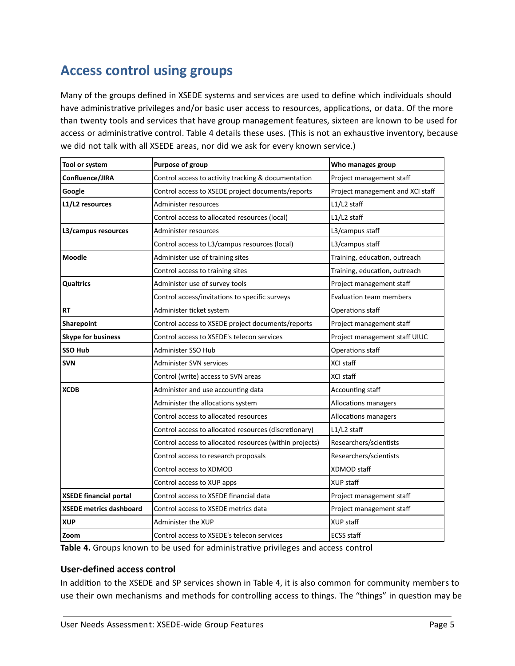## <span id="page-4-0"></span>**Access control using groups**

Many of the groups defined in XSEDE systems and services are used to define which individuals should have administrative privileges and/or basic user access to resources, applications, or data. Of the more than twenty tools and services that have group management features, sixteen are known to be used for access or administrative control. Table 4 details these uses. (This is not an exhaustive inventory, because we did not talk with all XSEDE areas, nor did we ask for every known service.)

| Tool or system                 | Purpose of group                                        | Who manages group                |
|--------------------------------|---------------------------------------------------------|----------------------------------|
| Confluence/JIRA                | Control access to activity tracking & documentation     | Project management staff         |
| Google                         | Control access to XSEDE project documents/reports       | Project management and XCI staff |
| L1/L2 resources                | Administer resources                                    | $L1/L2$ staff                    |
|                                | Control access to allocated resources (local)           | L1/L2 staff                      |
| L3/campus resources            | Administer resources                                    | L3/campus staff                  |
|                                | Control access to L3/campus resources (local)           | L3/campus staff                  |
| <b>Moodle</b>                  | Administer use of training sites                        | Training, education, outreach    |
|                                | Control access to training sites                        | Training, education, outreach    |
| <b>Qualtrics</b>               | Administer use of survey tools                          | Project management staff         |
|                                | Control access/invitations to specific surveys          | <b>Evaluation team members</b>   |
| RT                             | Administer ticket system                                | Operations staff                 |
| Sharepoint                     | Control access to XSEDE project documents/reports       | Project management staff         |
| <b>Skype for business</b>      | Control access to XSEDE's telecon services              | Project management staff UIUC    |
| <b>SSO Hub</b>                 | Administer SSO Hub                                      | Operations staff                 |
| <b>SVN</b>                     | Administer SVN services                                 | XCI staff                        |
|                                | Control (write) access to SVN areas                     | XCI staff                        |
| <b>XCDB</b>                    | Administer and use accounting data                      | Accounting staff                 |
|                                | Administer the allocations system                       | Allocations managers             |
|                                | Control access to allocated resources                   | Allocations managers             |
|                                | Control access to allocated resources (discretionary)   | $L1/L2$ staff                    |
|                                | Control access to allocated resources (within projects) | Researchers/scientists           |
|                                | Control access to research proposals                    | Researchers/scientists           |
|                                | Control access to XDMOD                                 | XDMOD staff                      |
|                                | Control access to XUP apps                              | <b>XUP staff</b>                 |
| <b>XSEDE financial portal</b>  | Control access to XSEDE financial data                  | Project management staff         |
| <b>XSEDE metrics dashboard</b> | Control access to XSEDE metrics data                    | Project management staff         |
| <b>XUP</b>                     | Administer the XUP                                      | XUP staff                        |
| Zoom                           | Control access to XSEDE's telecon services              | <b>ECSS staff</b>                |

Table 4. Groups known to be used for administrative privileges and access control

#### <span id="page-4-1"></span>**User-defined access control**

In addition to the XSEDE and SP services shown in Table 4, it is also common for community members to use their own mechanisms and methods for controlling access to things. The "things" in question may be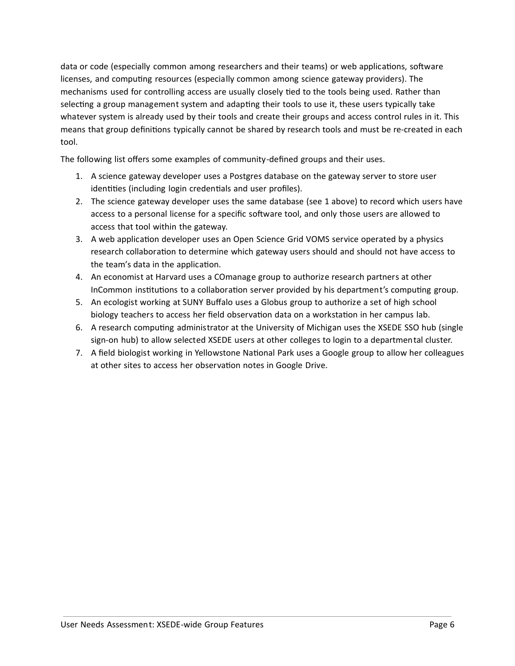data or code (especially common among researchers and their teams) or web applications, software licenses, and computing resources (especially common among science gateway providers). The mechanisms used for controlling access are usually closely tied to the tools being used. Rather than selecting a group management system and adapting their tools to use it, these users typically take whatever system is already used by their tools and create their groups and access control rules in it. This means that group definitions typically cannot be shared by research tools and must be re-created in each tool.

The following list offers some examples of community-defined groups and their uses.

- 1. A science gateway developer uses a Postgres database on the gateway server to store user identities (including login credentials and user profiles).
- 2. The science gateway developer uses the same database (see 1 above) to record which users have access to a personal license for a specific software tool, and only those users are allowed to access that tool within the gateway.
- 3. A web application developer uses an Open Science Grid VOMS service operated by a physics research collaboration to determine which gateway users should and should not have access to the team's data in the application.
- 4. An economist at Harvard uses a COmanage group to authorize research partners at other InCommon institutions to a collaboration server provided by his department's computing group.
- 5. An ecologist working at SUNY Buffalo uses a Globus group to authorize a set of high school biology teachers to access her field observation data on a workstation in her campus lab.
- 6. A research computing administrator at the University of Michigan uses the XSEDE SSO hub (single sign-on hub) to allow selected XSEDE users at other colleges to login to a departmental cluster.
- 7. A field biologist working in Yellowstone National Park uses a Google group to allow her colleagues at other sites to access her observation notes in Google Drive.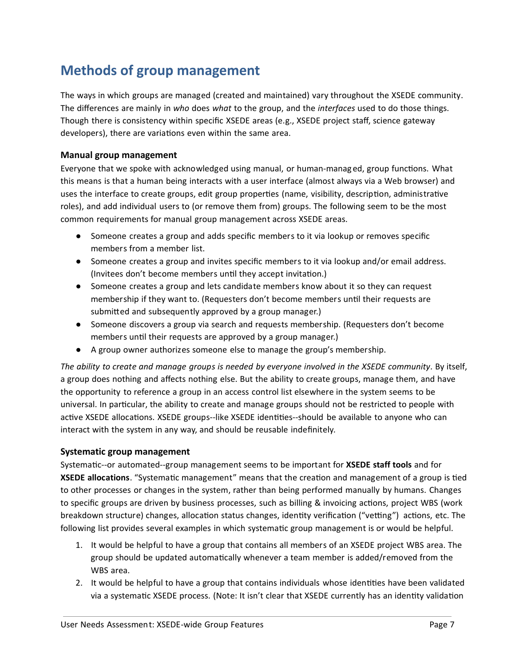## <span id="page-6-0"></span>**Methods of group management**

The ways in which groups are managed (created and maintained) vary throughout the XSEDE community. The differences are mainly in *who* does *what* to the group, and the *interfaces* used to do those things. Though there is consistency within specific XSEDE areas (e.g., XSEDE project staff, science gateway developers), there are variations even within the same area.

#### <span id="page-6-1"></span>**Manual group management**

Everyone that we spoke with acknowledged using manual, or human-managed, group functions. What this means is that a human being interacts with a user interface (almost always via a Web browser) and uses the interface to create groups, edit group properties (name, visibility, description, administrative roles), and add individual users to (or remove them from) groups. The following seem to be the most common requirements for manual group management across XSEDE areas.

- Someone creates a group and adds specific members to it via lookup or removes specific members from a member list.
- Someone creates a group and invites specific members to it via lookup and/or email address. (Invitees don't become members until they accept invitation.)
- Someone creates a group and lets candidate members know about it so they can request membership if they want to. (Requesters don't become members until their requests are submitted and subsequently approved by a group manager.)
- Someone discovers a group via search and requests membership. (Requesters don't become members until their requests are approved by a group manager.)
- A group owner authorizes someone else to manage the group's membership.

The ability to create and manage groups is needed by everyone involved in the XSEDE community. By itself, a group does nothing and affects nothing else. But the ability to create groups, manage them, and have the opportunity to reference a group in an access control list elsewhere in the system seems to be universal. In particular, the ability to create and manage groups should not be restricted to people with active XSEDE allocations. XSEDE groups--like XSEDE identities--should be available to anyone who can interact with the system in any way, and should be reusable indefinitely.

#### <span id="page-6-2"></span>**Systematic group management**

Systematic--or automated--group management seems to be important for XSEDE staff tools and for **XSEDE allocations**. "Systematic management" means that the creation and management of a group is tied to other processes or changes in the system, rather than being performed manually by humans. Changes to specific groups are driven by business processes, such as billing & invoicing actions, project WBS (work breakdown structure) changes, allocation status changes, identity verification ("vetting") actions, etc. The following list provides several examples in which systematic group management is or would be helpful.

- 1. It would be helpful to have a group that contains all members of an XSEDE project WBS area. The group should be updated automatically whenever a team member is added/removed from the WBS area.
- 2. It would be helpful to have a group that contains individuals whose identities have been validated via a systematic XSEDE process. (Note: It isn't clear that XSEDE currently has an identity validation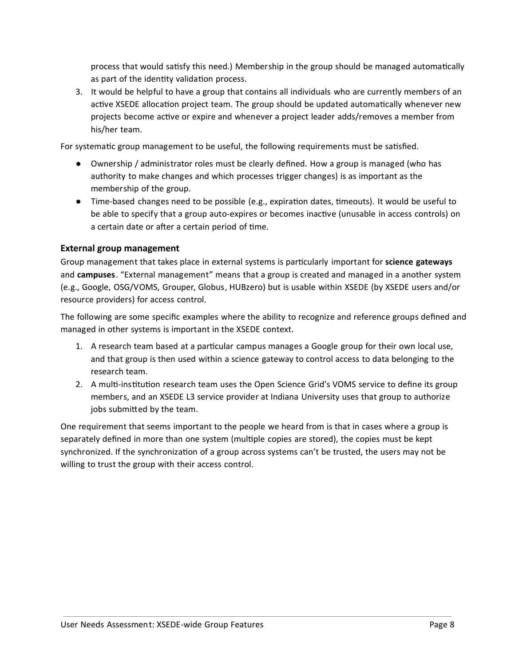process that would satisfy this need.) Membership in the group should be managed automatically as part of the identity validation process.

3. It would be helpful to have a group that contains all individuals who are currently members of an active XSEDE allocation project team. The group should be updated automatically whenever new projects become active or expire and whenever a project leader adds/removes a member from his/her team.

For systematic group management to be useful, the following requirements must be satisfied.

- Ownership / administrator roles must be clearly defined. How a group is managed (who has authority to make changes and which processes trigger changes) is as important as the membership of the group.
- $\bullet$  Time-based changes need to be possible (e.g., expiration dates, timeouts). It would be useful to be able to specify that a group auto-expires or becomes inactive (unusable in access controls) on a certain date or after a certain period of time.

#### <span id="page-7-0"></span>**External group management**

Group management that takes place in external systems is particularly important for **science gateways** and **campuses** . "External management" means that a group is created and managed in a another system (e.g., Google, OSG/VOMS, Grouper, Globus, HUBzero) but is usable within XSEDE (by XSEDE users and/or resource providers) for access control.

The following are some specific examples where the ability to recognize and reference groups defined and managed in other systems is important in the XSEDE context.

- 1. A research team based at a particular campus manages a Google group for their own local use, and that group is then used within a science gateway to control access to data belonging to the research team.
- 2. A multi-institution research team uses the Open Science Grid's VOMS service to define its group members, and an XSEDE L3 service provider at Indiana University uses that group to authorize jobs submitted by the team.

One requirement that seems important to the people we heard from is that in cases where a group is separately defined in more than one system (multiple copies are stored), the copies must be kept synchronized. If the synchronization of a group across systems can't be trusted, the users may not be willing to trust the group with their access control.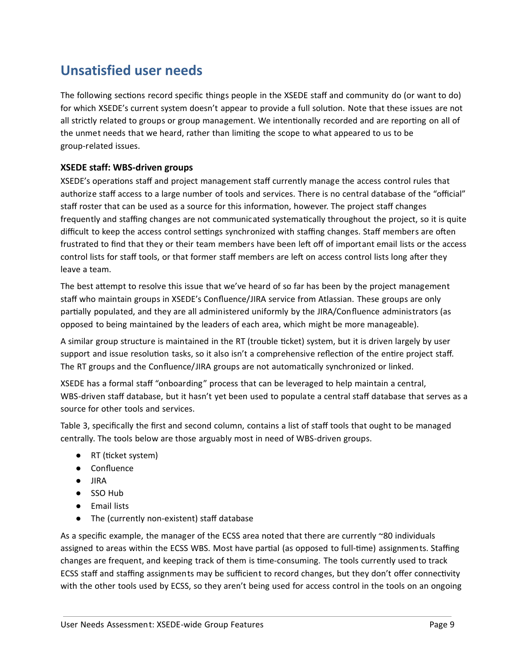### <span id="page-8-0"></span>**Unsatisfied user needs**

The following sections record specific things people in the XSEDE staff and community do (or want to do) for which XSEDE's current system doesn't appear to provide a full solution. Note that these issues are not all strictly related to groups or group management. We intentionally recorded and are reporting on all of the unmet needs that we heard, rather than limiting the scope to what appeared to us to be group-related issues.

#### <span id="page-8-1"></span>**XSEDE staff: WBS-driven groups**

XSEDE's operations staff and project management staff currently manage the access control rules that authorize staff access to a large number of tools and services. There is no central database of the "official" staff roster that can be used as a source for this information, however. The project staff changes frequently and staffing changes are not communicated systematically throughout the project, so it is quite difficult to keep the access control settings synchronized with staffing changes. Staff members are often frustrated to find that they or their team members have been left off of important email lists or the access control lists for staff tools, or that former staff members are left on access control lists long after they leave a team.

The best attempt to resolve this issue that we've heard of so far has been by the project management staff who maintain groups in XSEDE's Confluence/JIRA service from Atlassian. These groups are only partially populated, and they are all administered uniformly by the JIRA/Confluence administrators (as opposed to being maintained by the leaders of each area, which might be more manageable).

A similar group structure is maintained in the RT (trouble ticket) system, but it is driven largely by user support and issue resolution tasks, so it also isn't a comprehensive reflection of the entire project staff. The RT groups and the Confluence/JIRA groups are not automatically synchronized or linked.

XSEDE has a formal staff "onboarding" process that can be leveraged to help maintain a central, WBS-driven staff database, but it hasn't yet been used to populate a central staff database that serves as a source for other tools and services.

Table 3, specifically the first and second column, contains a list of staff tools that ought to be managed centrally. The tools below are those arguably most in need of WBS-driven groups.

- RT (ticket system)
- Confluence
- JIRA
- SSO Hub
- Email lists
- The (currently non-existent) staff database

As a specific example, the manager of the ECSS area noted that there are currently ~80 individuals assigned to areas within the ECSS WBS. Most have partial (as opposed to full-time) assignments. Staffing changes are frequent, and keeping track of them is time-consuming. The tools currently used to track ECSS staff and staffing assignments may be sufficient to record changes, but they don't offer connectivity with the other tools used by ECSS, so they aren't being used for access control in the tools on an ongoing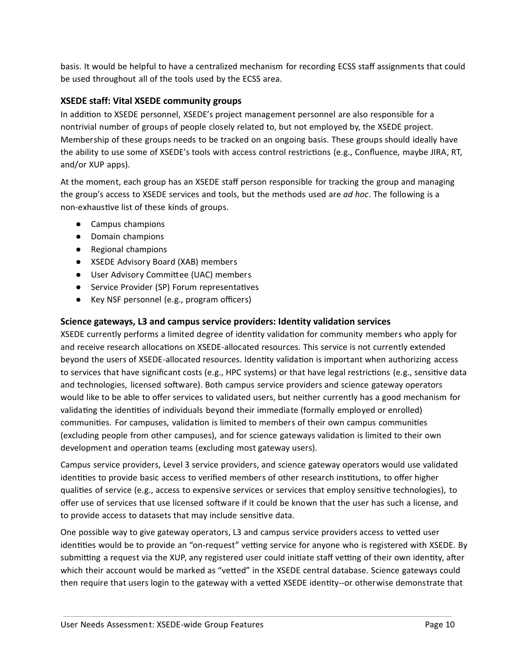basis. It would be helpful to have a centralized mechanism for recording ECSS staff assignments that could be used throughout all of the tools used by the ECSS area.

#### <span id="page-9-0"></span>**XSEDE staff: Vital XSEDE community groups**

In addition to XSEDE personnel, XSEDE's project management personnel are also responsible for a nontrivial number of groups of people closely related to, but not employed by, the XSEDE project. Membership of these groups needs to be tracked on an ongoing basis. These groups should ideally have the ability to use some of XSEDE's tools with access control restrictions (e.g., Confluence, maybe JIRA, RT, and/or XUP apps).

At the moment, each group has an XSEDE staff person responsible for tracking the group and managing the group's access to XSEDE services and tools, but the methods used are *ad hoc* . The following is a non-exhaustive list of these kinds of groups.

- Campus champions
- Domain champions
- Regional champions
- XSEDE Advisory Board (XAB) members
- User Advisory Committee (UAC) members
- Service Provider (SP) Forum representatives
- Key NSF personnel (e.g., program officers)

#### <span id="page-9-1"></span>**Science gateways, L3 and campus service providers: Identity validation services**

XSEDE currently performs a limited degree of identity validation for community members who apply for and receive research allocations on XSEDE-allocated resources. This service is not currently extended beyond the users of XSEDE-allocated resources. Identity validation is important when authorizing access to services that have significant costs (e.g., HPC systems) or that have legal restrictions (e.g., sensitive data and technologies, licensed software). Both campus service providers and science gateway operators would like to be able to offer services to validated users, but neither currently has a good mechanism for validating the identities of individuals beyond their immediate (formally employed or enrolled) communities. For campuses, validation is limited to members of their own campus communities (excluding people from other campuses), and for science gateways validation is limited to their own development and operation teams (excluding most gateway users).

Campus service providers, Level 3 service providers, and science gateway operators would use validated identities to provide basic access to verified members of other research institutions, to offer higher qualities of service (e.g., access to expensive services or services that employ sensitive technologies), to offer use of services that use licensed software if it could be known that the user has such a license, and to provide access to datasets that may include sensitive data.

One possible way to give gateway operators, L3 and campus service providers access to vetted user identities would be to provide an "on-request" vetting service for anyone who is registered with XSEDE. By submitting a request via the XUP, any registered user could initiate staff vetting of their own identity, after which their account would be marked as "vetted" in the XSEDE central database. Science gateways could then require that users login to the gateway with a vetted XSEDE identity--or otherwise demonstrate that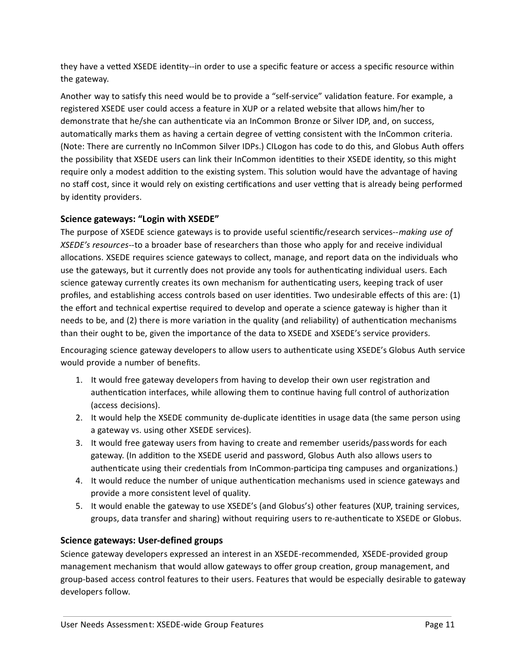they have a vetted XSEDE identity--in order to use a specific feature or access a specific resource within the gateway.

Another way to satisfy this need would be to provide a "self-service" validation feature. For example, a registered XSEDE user could access a feature in XUP or a related website that allows him/her to demonstrate that he/she can authenticate via an InCommon Bronze or Silver IDP, and, on success, automatically marks them as having a certain degree of vetting consistent with the InCommon criteria. (Note: There are currently no InCommon Silver IDPs.) CILogon has code to do this, and Globus Auth offers the possibility that XSEDE users can link their InCommon identities to their XSEDE identity, so this might require only a modest addition to the existing system. This solution would have the advantage of having no staff cost, since it would rely on existing certifications and user vetting that is already being performed by identity providers.

#### <span id="page-10-0"></span>**Science gateways: "Login with XSEDE"**

The purpose of XSEDE science gateways is to provide useful scienfic/research services-- *making use of XSEDE's resources--* to a broader base of researchers than those who apply for and receive individual allocations. XSEDE requires science gateways to collect, manage, and report data on the individuals who use the gateways, but it currently does not provide any tools for authenticating individual users. Each science gateway currently creates its own mechanism for authenticating users, keeping track of user profiles, and establishing access controls based on user identities. Two undesirable effects of this are: (1) the effort and technical expertise required to develop and operate a science gateway is higher than it needs to be, and (2) there is more variation in the quality (and reliability) of authentication mechanisms than their ought to be, given the importance of the data to XSEDE and XSEDE's service providers.

Encouraging science gateway developers to allow users to authenticate using XSEDE's Globus Auth service would provide a number of benefits.

- 1. It would free gateway developers from having to develop their own user registration and authentication interfaces, while allowing them to continue having full control of authorization (access decisions).
- 2. It would help the XSEDE community de-duplicate identities in usage data (the same person using a gateway vs. using other XSEDE services).
- 3. It would free gateway users from having to create and remember userids/passwords for each gateway. (In addition to the XSEDE userid and password, Globus Auth also allows users to authenticate using their credentials from InCommon-participa ting campuses and organizations.)
- 4. It would reduce the number of unique authentication mechanisms used in science gateways and provide a more consistent level of quality.
- 5. It would enable the gateway to use XSEDE's (and Globus's) other features (XUP, training services, groups, data transfer and sharing) without requiring users to re-authenticate to XSEDE or Globus.

#### <span id="page-10-1"></span>**Science gateways: User-defined groups**

Science gateway developers expressed an interest in an XSEDE-recommended, XSEDE-provided group management mechanism that would allow gateways to offer group creation, group management, and group-based access control features to their users. Features that would be especially desirable to gateway developers follow.